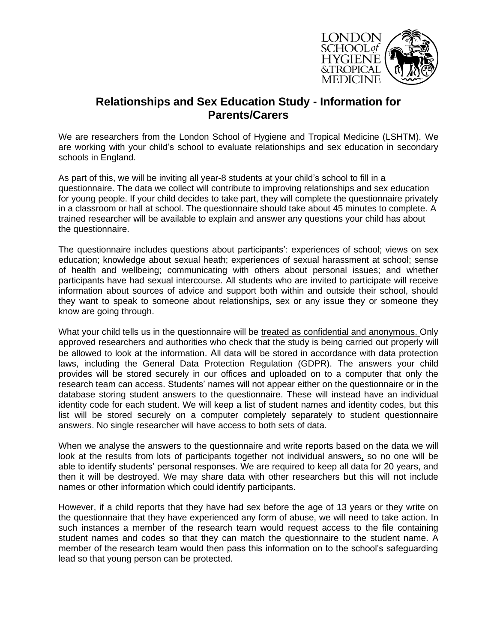

## **Relationships and Sex Education Study - Information for Parents/Carers**

We are researchers from the London School of Hygiene and Tropical Medicine (LSHTM). We are working with your child's school to evaluate relationships and sex education in secondary schools in England.

As part of this, we will be inviting all year-8 students at your child's school to fill in a questionnaire. The data we collect will contribute to improving relationships and sex education for young people. If your child decides to take part, they will complete the questionnaire privately in a classroom or hall at school. The questionnaire should take about 45 minutes to complete. A trained researcher will be available to explain and answer any questions your child has about the questionnaire.

The questionnaire includes questions about participants': experiences of school; views on sex education; knowledge about sexual heath; experiences of sexual harassment at school; sense of health and wellbeing; communicating with others about personal issues; and whether participants have had sexual intercourse. All students who are invited to participate will receive information about sources of advice and support both within and outside their school, should they want to speak to someone about relationships, sex or any issue they or someone they know are going through.

What your child tells us in the questionnaire will be treated as confidential and anonymous. Only approved researchers and authorities who check that the study is being carried out properly will be allowed to look at the information. All data will be stored in accordance with data protection laws, including the General Data Protection Regulation (GDPR). The answers your child provides will be stored securely in our offices and uploaded on to a computer that only the research team can access. Students' names will not appear either on the questionnaire or in the database storing student answers to the questionnaire. These will instead have an individual identity code for each student. We will keep a list of student names and identity codes, but this list will be stored securely on a computer completely separately to student questionnaire answers. No single researcher will have access to both sets of data.

When we analyse the answers to the questionnaire and write reports based on the data we will look at the results from lots of participants together not individual answers, so no one will be able to identify students' personal responses. We are required to keep all data for 20 years, and then it will be destroyed. We may share data with other researchers but this will not include names or other information which could identify participants.

However, if a child reports that they have had sex before the age of 13 years or they write on the questionnaire that they have experienced any form of abuse, we will need to take action. In such instances a member of the research team would request access to the file containing student names and codes so that they can match the questionnaire to the student name. A member of the research team would then pass this information on to the school's safeguarding lead so that young person can be protected.